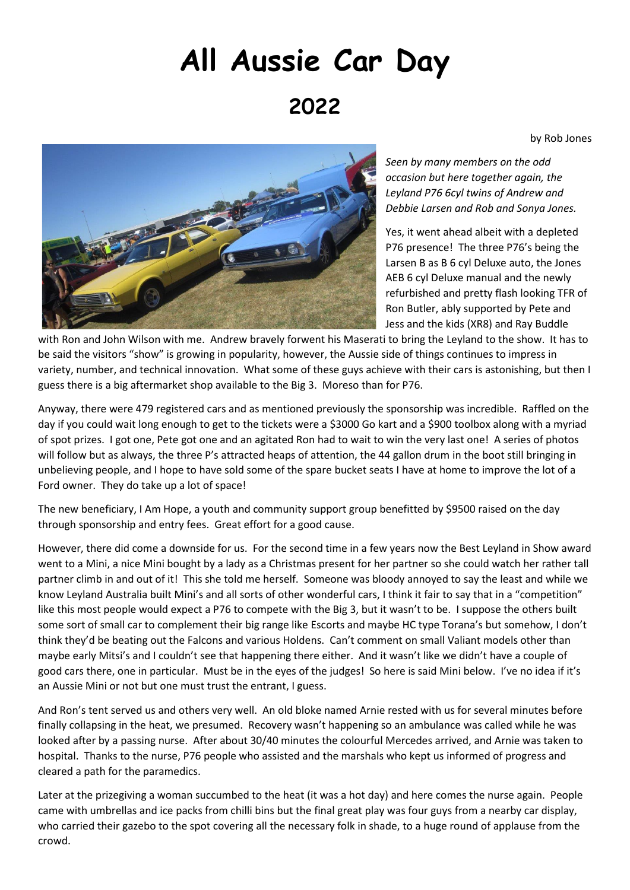## **All Aussie Car Day 2022**

by Rob Jones



*Seen by many members on the odd occasion but here together again, the Leyland P76 6cyl twins of Andrew and Debbie Larsen and Rob and Sonya Jones.*

Yes, it went ahead albeit with a depleted P76 presence! The three P76's being the Larsen B as B 6 cyl Deluxe auto, the Jones AEB 6 cyl Deluxe manual and the newly refurbished and pretty flash looking TFR of Ron Butler, ably supported by Pete and Jess and the kids (XR8) and Ray Buddle

with Ron and John Wilson with me. Andrew bravely forwent his Maserati to bring the Leyland to the show. It has to be said the visitors "show" is growing in popularity, however, the Aussie side of things continues to impress in variety, number, and technical innovation. What some of these guys achieve with their cars is astonishing, but then I guess there is a big aftermarket shop available to the Big 3. Moreso than for P76.

Anyway, there were 479 registered cars and as mentioned previously the sponsorship was incredible. Raffled on the day if you could wait long enough to get to the tickets were a \$3000 Go kart and a \$900 toolbox along with a myriad of spot prizes. I got one, Pete got one and an agitated Ron had to wait to win the very last one! A series of photos will follow but as always, the three P's attracted heaps of attention, the 44 gallon drum in the boot still bringing in unbelieving people, and I hope to have sold some of the spare bucket seats I have at home to improve the lot of a Ford owner. They do take up a lot of space!

The new beneficiary, I Am Hope, a youth and community support group benefitted by \$9500 raised on the day through sponsorship and entry fees. Great effort for a good cause.

However, there did come a downside for us. For the second time in a few years now the Best Leyland in Show award went to a Mini, a nice Mini bought by a lady as a Christmas present for her partner so she could watch her rather tall partner climb in and out of it! This she told me herself. Someone was bloody annoyed to say the least and while we know Leyland Australia built Mini's and all sorts of other wonderful cars, I think it fair to say that in a "competition" like this most people would expect a P76 to compete with the Big 3, but it wasn't to be. I suppose the others built some sort of small car to complement their big range like Escorts and maybe HC type Torana's but somehow, I don't think they'd be beating out the Falcons and various Holdens. Can't comment on small Valiant models other than maybe early Mitsi's and I couldn't see that happening there either. And it wasn't like we didn't have a couple of good cars there, one in particular. Must be in the eyes of the judges! So here is said Mini below. I've no idea if it's an Aussie Mini or not but one must trust the entrant, I guess.

And Ron's tent served us and others very well. An old bloke named Arnie rested with us for several minutes before finally collapsing in the heat, we presumed. Recovery wasn't happening so an ambulance was called while he was looked after by a passing nurse. After about 30/40 minutes the colourful Mercedes arrived, and Arnie was taken to hospital. Thanks to the nurse, P76 people who assisted and the marshals who kept us informed of progress and cleared a path for the paramedics.

Later at the prizegiving a woman succumbed to the heat (it was a hot day) and here comes the nurse again. People came with umbrellas and ice packs from chilli bins but the final great play was four guys from a nearby car display, who carried their gazebo to the spot covering all the necessary folk in shade, to a huge round of applause from the crowd.